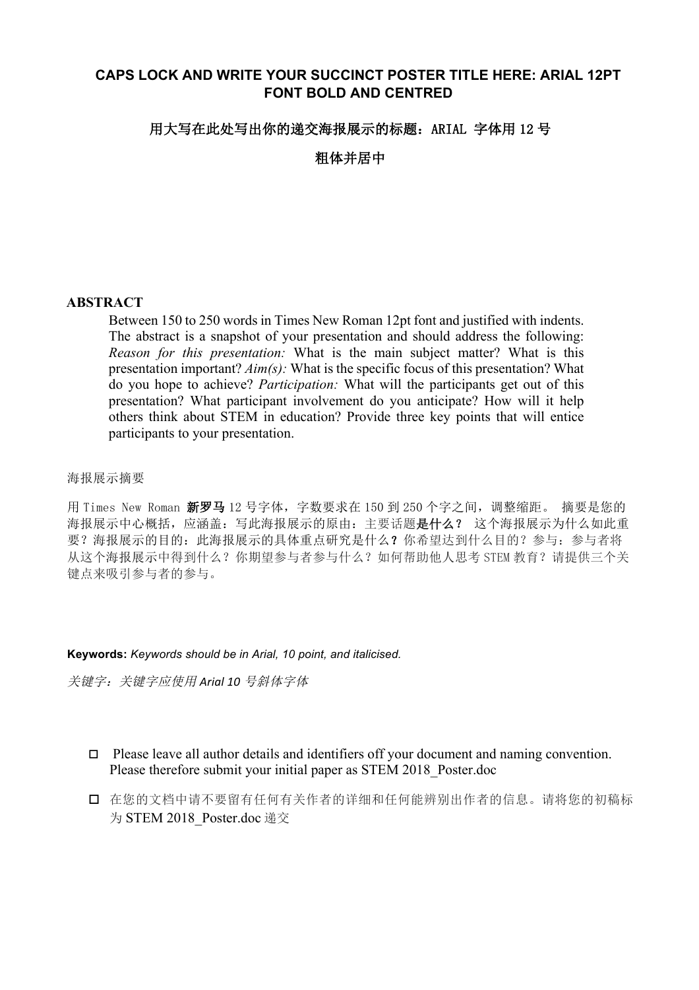# **CAPS LOCK AND WRITE YOUR SUCCINCT POSTER TITLE HERE: ARIAL 12PT FONT BOLD AND CENTRED**

## 用大写在此处写出你的递交海报展示的标题: ARIAL 字体用 12 号

粗体并居中

## **ABSTRACT**

Between 150 to 250 words in Times New Roman 12pt font and justified with indents. The abstract is a snapshot of your presentation and should address the following: *Reason for this presentation:* What is the main subject matter? What is this presentation important? *Aim(s):* What is the specific focus of this presentation? What do you hope to achieve? *Participation:* What will the participants get out of this presentation? What participant involvement do you anticipate? How will it help others think about STEM in education? Provide three key points that will entice participants to your presentation.

#### 海报展示摘要

用 Times New Roman 新罗马 12 号字体,字数要求在 150 到 250 个字之间,调整缩距。 摘要是您的 海报展示中心概括,应涵盖:写此海报展示的原由:主要话题是什么? 这个海报展示为什么如此重 要?海报展示的目的:此海报展示的具体重点研究是什么?你希望达到什么目的?参与:参与者将 从这个海报展示中得到什么?你期望参与者参与什么?如何帮助他人思考 STEM 教育?请提供三个关 键点来吸引参与者的参与。

#### **Keywords:** *Keywords should be in Arial, 10 point, and italicised.*

关键字: 关键字应使用 Arial 10 号斜体字体

- $\Box$  Please leave all author details and identifiers off your document and naming convention. Please therefore submit your initial paper as STEM 2018\_Poster.doc
- o 在您的文档中请不要留有任何有关作者的详细和任何能辨别出作者的信息。请将您的初稿标 为 STEM 2018 Poster.doc 递交